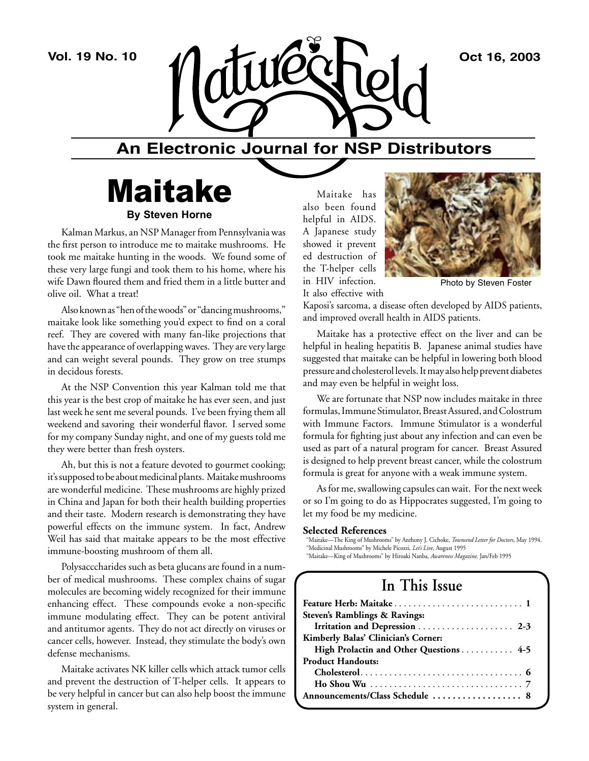

# **An Electronic Journal for NSP Distributors**

# Maitake **By Steven Horne**

Kalman Markus, an NSP Manager from Pennsylvania was the first person to introduce me to maitake mushrooms. He took me maitake hunting in the woods. We found some of these very large fungi and took them to his home, where his wife Dawn floured them and fried them in a little butter and olive oil. What a treat!

Also known as "hen of the woods" or "dancing mushrooms," maitake look like something you'd expect to find on a coral reef. They are covered with many fan-like projections that have the appearance of overlapping waves. They are very large and can weight several pounds. They grow on tree stumps in decidous forests.

At the NSP Convention this year Kalman told me that this year is the best crop of maitake he has ever seen, and just last week he sent me several pounds. I've been frying them all weekend and savoring their wonderful flavor. I served some for my company Sunday night, and one of my guests told me they were better than fresh oysters.

Ah, but this is not a feature devoted to gourmet cooking; it's supposed to be about medicinal plants. Maitake mushrooms are wonderful medicine. These mushrooms are highly prized in China and Japan for both their health building properties and their taste. Modern research is demonstrating they have powerful effects on the immune system. In fact, Andrew Weil has said that maitake appears to be the most effective immune-boosting mushroom of them all.

Polysacccharides such as beta glucans are found in a number of medical mushrooms. These complex chains of sugar molecules are becoming widely recognized for their immune enhancing effect. These compounds evoke a non-specific immune modulating effect. They can be potent antiviral and antitumor agents. They do not act directly on viruses or cancer cells, however. Instead, they stimulate the body's own defense mechanisms.

Maitake activates NK killer cells which attack tumor cells and prevent the destruction of T-helper cells. It appears to be very helpful in cancer but can also help boost the immune system in general.

Maitake has also been found helpful in AIDS. A Japanese study showed it prevent ed destruction of the T-helper cells in HIV infection. It also effective with



Photo by Steven Foster

Kaposi's sarcoma, a disease often developed by AIDS patients, and improved overall health in AIDS patients.

Maitake has a protective effect on the liver and can be helpful in healing hepatitis B. Japanese animal studies have suggested that maitake can be helpful in lowering both blood pressure and cholesterol levels. It may also help prevent diabetes and may even be helpful in weight loss.

We are fortunate that NSP now includes maitake in three formulas, Immune Stimulator, Breast Assured, and Colostrum with Immune Factors. Immune Stimulator is a wonderful formula for fighting just about any infection and can even be used as part of a natural program for cancer. Breast Assured is designed to help prevent breast cancer, while the colostrum formula is great for anyone with a weak immune system.

As for me, swallowing capsules can wait. For the next week or so I'm going to do as Hippocrates suggested, I'm going to let my food be my medicine.

#### **Selected References**

"Maitake—The King of Mushrooms" by Anthony J. Cichoke, *Townsend Letter for Doctors*, May 1994. "Medicinal Mushrooms" by Michele Picozzi*, Let's Live,* August 1995 "Maitake—King of Mushrooms" by Hiroaki Nanba*, Awareness Magazine,* Jan/Feb 1995

# **In This Issue**

| Steven's Ramblings & Ravings:          |
|----------------------------------------|
| Irritation and Depression  2-3         |
| Kimberly Balas' Clinician's Corner:    |
| High Prolactin and Other Questions 4-5 |
| <b>Product Handouts:</b>               |
|                                        |
|                                        |
| Announcements/Class Schedule  8        |
|                                        |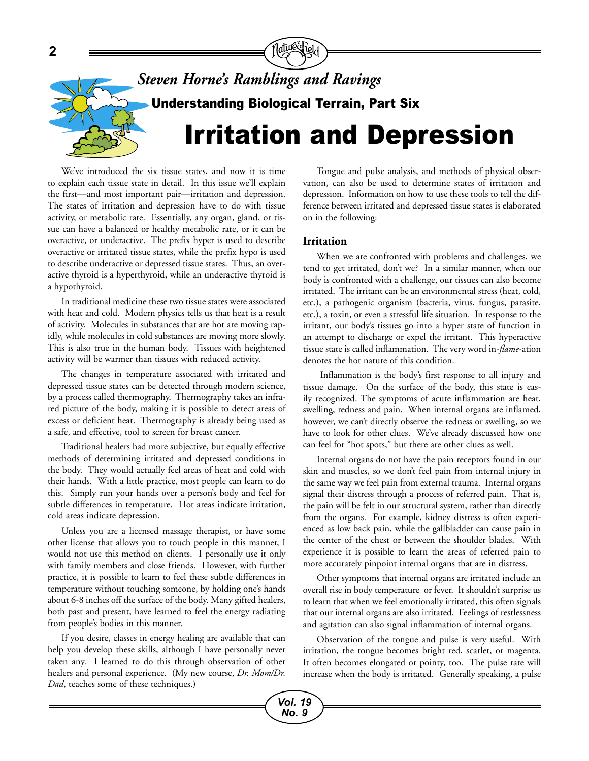

We've introduced the six tissue states, and now it is time to explain each tissue state in detail. In this issue we'll explain the first—and most important pair—irritation and depression. The states of irritation and depression have to do with tissue activity, or metabolic rate. Essentially, any organ, gland, or tissue can have a balanced or healthy metabolic rate, or it can be overactive, or underactive. The prefix hyper is used to describe overactive or irritated tissue states, while the prefix hypo is used to describe underactive or depressed tissue states. Thus, an overactive thyroid is a hyperthyroid, while an underactive thyroid is a hypothyroid.

In traditional medicine these two tissue states were associated with heat and cold. Modern physics tells us that heat is a result of activity. Molecules in substances that are hot are moving rapidly, while molecules in cold substances are moving more slowly. This is also true in the human body. Tissues with heightened activity will be warmer than tissues with reduced activity.

The changes in temperature associated with irritated and depressed tissue states can be detected through modern science, by a process called thermography. Thermography takes an infrared picture of the body, making it is possible to detect areas of excess or deficient heat. Thermography is already being used as a safe, and effective, tool to screen for breast cancer.

Traditional healers had more subjective, but equally effective methods of determining irritated and depressed conditions in the body. They would actually feel areas of heat and cold with their hands. With a little practice, most people can learn to do this. Simply run your hands over a person's body and feel for subtle differences in temperature. Hot areas indicate irritation, cold areas indicate depression.

Unless you are a licensed massage therapist, or have some other license that allows you to touch people in this manner, I would not use this method on clients. I personally use it only with family members and close friends. However, with further practice, it is possible to learn to feel these subtle differences in temperature without touching someone, by holding one's hands about 6-8 inches off the surface of the body. Many gifted healers, both past and present, have learned to feel the energy radiating from people's bodies in this manner.

If you desire, classes in energy healing are available that can help you develop these skills, although I have personally never taken any. I learned to do this through observation of other healers and personal experience. (My new course, *Dr. Mom/Dr. Dad*, teaches some of these techniques.)

Tongue and pulse analysis, and methods of physical observation, can also be used to determine states of irritation and depression. Information on how to use these tools to tell the difference between irritated and depressed tissue states is elaborated on in the following:

### **Irritation**

When we are confronted with problems and challenges, we tend to get irritated, don't we? In a similar manner, when our body is confronted with a challenge, our tissues can also become irritated. The irritant can be an environmental stress (heat, cold, etc.), a pathogenic organism (bacteria, virus, fungus, parasite, etc.), a toxin, or even a stressful life situation. In response to the irritant, our body's tissues go into a hyper state of function in an attempt to discharge or expel the irritant. This hyperactive tissue state is called inflammation. The very word in-*flame*-ation denotes the hot nature of this condition.

 Inflammation is the body's first response to all injury and tissue damage. On the surface of the body, this state is easily recognized. The symptoms of acute inflammation are heat, swelling, redness and pain. When internal organs are inflamed, however, we can't directly observe the redness or swelling, so we have to look for other clues. We've already discussed how one can feel for "hot spots," but there are other clues as well.

Internal organs do not have the pain receptors found in our skin and muscles, so we don't feel pain from internal injury in the same way we feel pain from external trauma. Internal organs signal their distress through a process of referred pain. That is, the pain will be felt in our structural system, rather than directly from the organs. For example, kidney distress is often experienced as low back pain, while the gallbladder can cause pain in the center of the chest or between the shoulder blades. With experience it is possible to learn the areas of referred pain to more accurately pinpoint internal organs that are in distress.

Other symptoms that internal organs are irritated include an overall rise in body temperature or fever. It shouldn't surprise us to learn that when we feel emotionally irritated, this often signals that our internal organs are also irritated. Feelings of restlessness and agitation can also signal inflammation of internal organs.

Observation of the tongue and pulse is very useful. With irritation, the tongue becomes bright red, scarlet, or magenta. It often becomes elongated or pointy, too. The pulse rate will increase when the body is irritated. Generally speaking, a pulse

*Vol. 19 No. 9*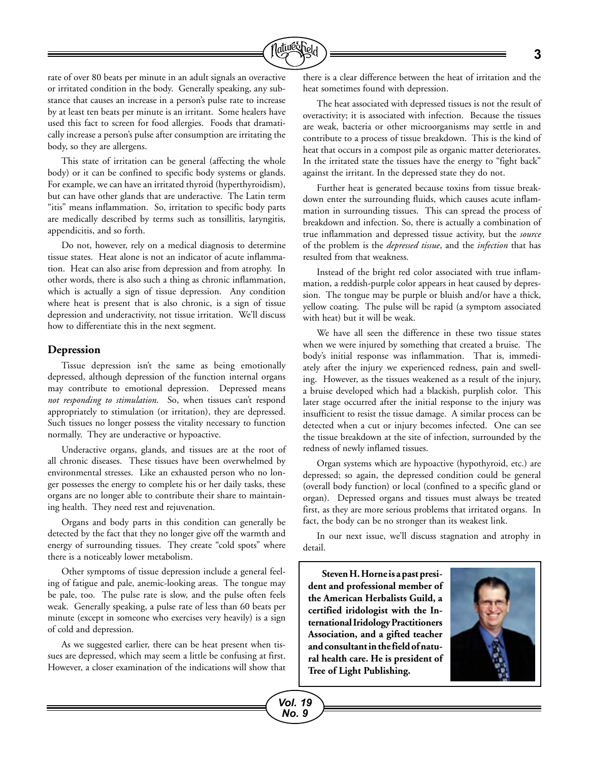

rate of over 80 beats per minute in an adult signals an overactive or irritated condition in the body. Generally speaking, any substance that causes an increase in a person's pulse rate to increase by at least ten beats per minute is an irritant. Some healers have used this fact to screen for food allergies. Foods that dramatically increase a person's pulse after consumption are irritating the body, so they are allergens.

This state of irritation can be general (affecting the whole body) or it can be confined to specific body systems or glands. For example, we can have an irritated thyroid (hyperthyroidism), but can have other glands that are underactive. The Latin term "itis" means inflammation. So, irritation to specific body parts are medically described by terms such as tonsillitis, laryngitis, appendicitis, and so forth.

Do not, however, rely on a medical diagnosis to determine tissue states. Heat alone is not an indicator of acute inflammation. Heat can also arise from depression and from atrophy. In other words, there is also such a thing as chronic inflammation, which is actually a sign of tissue depression. Any condition where heat is present that is also chronic, is a sign of tissue depression and underactivity, not tissue irritation. We'll discuss how to differentiate this in the next segment.

### **Depression**

Tissue depression isn't the same as being emotionally depressed, although depression of the function internal organs may contribute to emotional depression. Depressed means *not responding to stimulation*. So, when tissues can't respond appropriately to stimulation (or irritation), they are depressed. Such tissues no longer possess the vitality necessary to function normally. They are underactive or hypoactive.

Underactive organs, glands, and tissues are at the root of all chronic diseases. These tissues have been overwhelmed by environmental stresses. Like an exhausted person who no longer possesses the energy to complete his or her daily tasks, these organs are no longer able to contribute their share to maintaining health. They need rest and rejuvenation.

Organs and body parts in this condition can generally be detected by the fact that they no longer give off the warmth and energy of surrounding tissues. They create "cold spots" where there is a noticeably lower metabolism.

Other symptoms of tissue depression include a general feeling of fatigue and pale, anemic-looking areas. The tongue may be pale, too. The pulse rate is slow, and the pulse often feels weak. Generally speaking, a pulse rate of less than 60 beats per minute (except in someone who exercises very heavily) is a sign of cold and depression.

As we suggested earlier, there can be heat present when tissues are depressed, which may seem a little be confusing at first. However, a closer examination of the indications will show that

there is a clear difference between the heat of irritation and the heat sometimes found with depression.

The heat associated with depressed tissues is not the result of overactivity; it is associated with infection. Because the tissues are weak, bacteria or other microorganisms may settle in and contribute to a process of tissue breakdown. This is the kind of heat that occurs in a compost pile as organic matter deteriorates. In the irritated state the tissues have the energy to "fight back" against the irritant. In the depressed state they do not.

Further heat is generated because toxins from tissue breakdown enter the surrounding fluids, which causes acute inflammation in surrounding tissues. This can spread the process of breakdown and infection. So, there is actually a combination of true inflammation and depressed tissue activity, but the *source* of the problem is the *depressed tissue*, and the *infection* that has resulted from that weakness.

Instead of the bright red color associated with true inflammation, a reddish-purple color appears in heat caused by depression. The tongue may be purple or bluish and/or have a thick, yellow coating. The pulse will be rapid (a symptom associated with heat) but it will be weak.

We have all seen the difference in these two tissue states when we were injured by something that created a bruise. The body's initial response was inflammation. That is, immediately after the injury we experienced redness, pain and swelling. However, as the tissues weakened as a result of the injury, a bruise developed which had a blackish, purplish color. This later stage occurred after the initial response to the injury was insufficient to resist the tissue damage. A similar process can be detected when a cut or injury becomes infected. One can see the tissue breakdown at the site of infection, surrounded by the redness of newly inflamed tissues.

Organ systems which are hypoactive (hypothyroid, etc.) are depressed; so again, the depressed condition could be general (overall body function) or local (confined to a specific gland or organ). Depressed organs and tissues must always be treated first, as they are more serious problems that irritated organs. In fact, the body can be no stronger than its weakest link.

In our next issue, we'll discuss stagnation and atrophy in detail.

**Steven H. Horne is a past president and professional member of the American Herbalists Guild, a certified iridologist with the International Iridology Practitioners Association, and a gifted teacher and consultant in the field of natural health care. He is president of Tree of Light Publishing.**

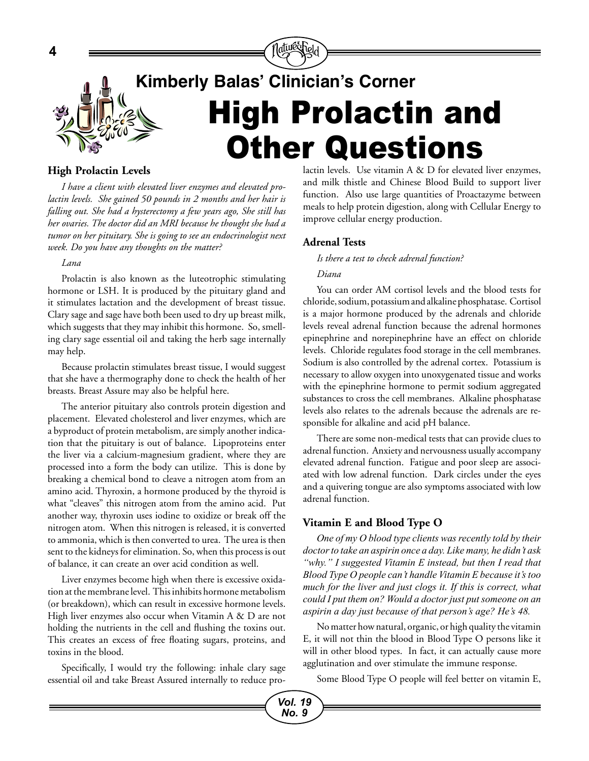

# **High Prolactin Levels**

*I have a client with elevated liver enzymes and elevated prolactin levels. She gained 50 pounds in 2 months and her hair is falling out. She had a hysterectomy a few years ago, She still has her ovaries. The doctor did an MRI because he thought she had a tumor on her pituitary. She is going to see an endocrinologist next week. Do you have any thoughts on the matter?*

### *Lana*

**4**

Prolactin is also known as the luteotrophic stimulating hormone or LSH. It is produced by the pituitary gland and it stimulates lactation and the development of breast tissue. Clary sage and sage have both been used to dry up breast milk, which suggests that they may inhibit this hormone. So, smelling clary sage essential oil and taking the herb sage internally may help.

Because prolactin stimulates breast tissue, I would suggest that she have a thermography done to check the health of her breasts. Breast Assure may also be helpful here.

The anterior pituitary also controls protein digestion and placement. Elevated cholesterol and liver enzymes, which are a byproduct of protein metabolism, are simply another indication that the pituitary is out of balance. Lipoproteins enter the liver via a calcium-magnesium gradient, where they are processed into a form the body can utilize. This is done by breaking a chemical bond to cleave a nitrogen atom from an amino acid. Thyroxin, a hormone produced by the thyroid is what "cleaves" this nitrogen atom from the amino acid. Put another way, thyroxin uses iodine to oxidize or break off the nitrogen atom. When this nitrogen is released, it is converted to ammonia, which is then converted to urea. The urea is then sent to the kidneys for elimination. So, when this process is out of balance, it can create an over acid condition as well.

Liver enzymes become high when there is excessive oxidation at the membrane level. This inhibits hormone metabolism (or breakdown), which can result in excessive hormone levels. High liver enzymes also occur when Vitamin A & D are not holding the nutrients in the cell and flushing the toxins out. This creates an excess of free floating sugars, proteins, and toxins in the blood.

Specifically, I would try the following: inhale clary sage essential oil and take Breast Assured internally to reduce prolactin levels. Use vitamin A & D for elevated liver enzymes, and milk thistle and Chinese Blood Build to support liver function. Also use large quantities of Proactazyme between meals to help protein digestion, along with Cellular Energy to improve cellular energy production.

## **Adrenal Tests**

*Is there a test to check adrenal function?*

### *Diana*

You can order AM cortisol levels and the blood tests for chloride, sodium, potassium and alkaline phosphatase. Cortisol is a major hormone produced by the adrenals and chloride levels reveal adrenal function because the adrenal hormones epinephrine and norepinephrine have an effect on chloride levels. Chloride regulates food storage in the cell membranes. Sodium is also controlled by the adrenal cortex. Potassium is necessary to allow oxygen into unoxygenated tissue and works with the epinephrine hormone to permit sodium aggregated substances to cross the cell membranes. Alkaline phosphatase levels also relates to the adrenals because the adrenals are responsible for alkaline and acid pH balance.

There are some non-medical tests that can provide clues to adrenal function. Anxiety and nervousness usually accompany elevated adrenal function. Fatigue and poor sleep are associated with low adrenal function. Dark circles under the eyes and a quivering tongue are also symptoms associated with low adrenal function.

## **Vitamin E and Blood Type O**

*One of my O blood type clients was recently told by their doctor to take an aspirin once a day. Like many, he didn't ask "why." I suggested Vitamin E instead, but then I read that Blood Type O people can't handle Vitamin E because it's too much for the liver and just clogs it. If this is correct, what could I put them on? Would a doctor just put someone on an aspirin a day just because of that person's age? He's 48.*

No matter how natural, organic, or high quality the vitamin E, it will not thin the blood in Blood Type O persons like it will in other blood types. In fact, it can actually cause more agglutination and over stimulate the immune response.

Some Blood Type O people will feel better on vitamin E,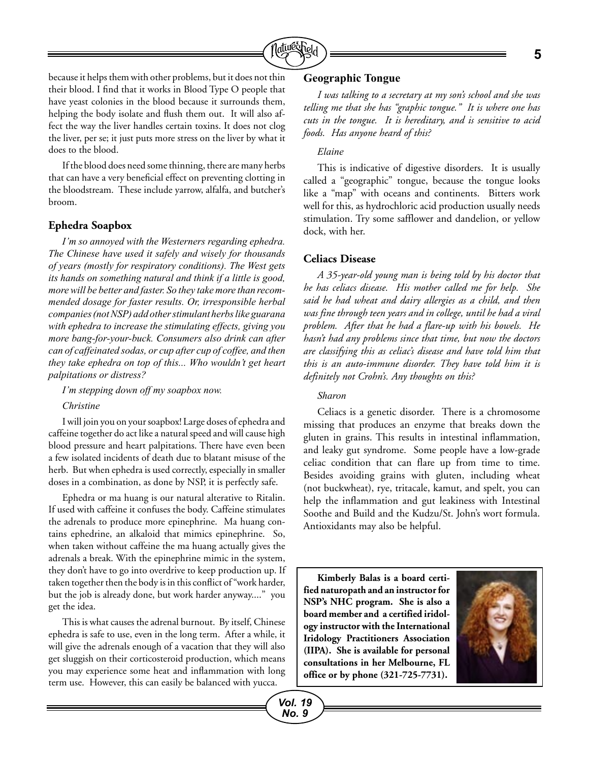

because it helps them with other problems, but it does not thin their blood. I find that it works in Blood Type O people that have yeast colonies in the blood because it surrounds them, helping the body isolate and flush them out. It will also affect the way the liver handles certain toxins. It does not clog the liver, per se; it just puts more stress on the liver by what it does to the blood.

If the blood does need some thinning, there are many herbs that can have a very beneficial effect on preventing clotting in the bloodstream. These include yarrow, alfalfa, and butcher's broom.

### **Ephedra Soapbox**

*I'm so annoyed with the Westerners regarding ephedra. The Chinese have used it safely and wisely for thousands of years (mostly for respiratory conditions). The West gets its hands on something natural and think if a little is good, more will be better and faster. So they take more than recommended dosage for faster results. Or, irresponsible herbal companies (not NSP) add other stimulant herbs like guarana with ephedra to increase the stimulating effects, giving you more bang-for-your-buck. Consumers also drink can after can of caffeinated sodas, or cup after cup of coffee, and then they take ephedra on top of this... Who wouldn't get heart palpitations or distress?* 

*I'm stepping down off my soapbox now.*

### *Christine*

I will join you on your soapbox! Large doses of ephedra and caffeine together do act like a natural speed and will cause high blood pressure and heart palpitations. There have even been a few isolated incidents of death due to blatant misuse of the herb. But when ephedra is used correctly, especially in smaller doses in a combination, as done by NSP, it is perfectly safe.

Ephedra or ma huang is our natural alterative to Ritalin. If used with caffeine it confuses the body. Caffeine stimulates the adrenals to produce more epinephrine. Ma huang contains ephedrine, an alkaloid that mimics epinephrine. So, when taken without caffeine the ma huang actually gives the adrenals a break. With the epinephrine mimic in the system, they don't have to go into overdrive to keep production up. If taken together then the body is in this conflict of "work harder, but the job is already done, but work harder anyway...." you get the idea.

This is what causes the adrenal burnout. By itself, Chinese ephedra is safe to use, even in the long term. After a while, it will give the adrenals enough of a vacation that they will also get sluggish on their corticosteroid production, which means you may experience some heat and inflammation with long term use. However, this can easily be balanced with yucca.

### **Geographic Tongue**

*I was talking to a secretary at my son's school and she was telling me that she has "graphic tongue." It is where one has cuts in the tongue. It is hereditary, and is sensitive to acid foods. Has anyone heard of this?*

## *Elaine*

This is indicative of digestive disorders. It is usually called a "geographic" tongue, because the tongue looks like a "map" with oceans and continents. Bitters work well for this, as hydrochloric acid production usually needs stimulation. Try some safflower and dandelion, or yellow dock, with her.

### **Celiacs Disease**

*A 35-year-old young man is being told by his doctor that he has celiacs disease. His mother called me for help. She said he had wheat and dairy allergies as a child, and then was fine through teen years and in college, until he had a viral problem. After that he had a flare-up with his bowels. He hasn't had any problems since that time, but now the doctors are classifying this as celiac's disease and have told him that this is an auto-immune disorder. They have told him it is definitely not Crohn's. Any thoughts on this?*

### *Sharon*

Celiacs is a genetic disorder. There is a chromosome missing that produces an enzyme that breaks down the gluten in grains. This results in intestinal inflammation, and leaky gut syndrome. Some people have a low-grade celiac condition that can flare up from time to time. Besides avoiding grains with gluten, including wheat (not buckwheat), rye, tritacale, kamut, and spelt, you can help the inflammation and gut leakiness with Intestinal Soothe and Build and the Kudzu/St. John's wort formula. Antioxidants may also be helpful.

**Kimberly Balas is a board certified naturopath and an instructor for NSP's NHC program. She is also a board member and a certified iridology instructor with the International Iridology Practitioners Association (IIPA). She is available for personal consultations in her Melbourne, FL office or by phone (321-725-7731).**

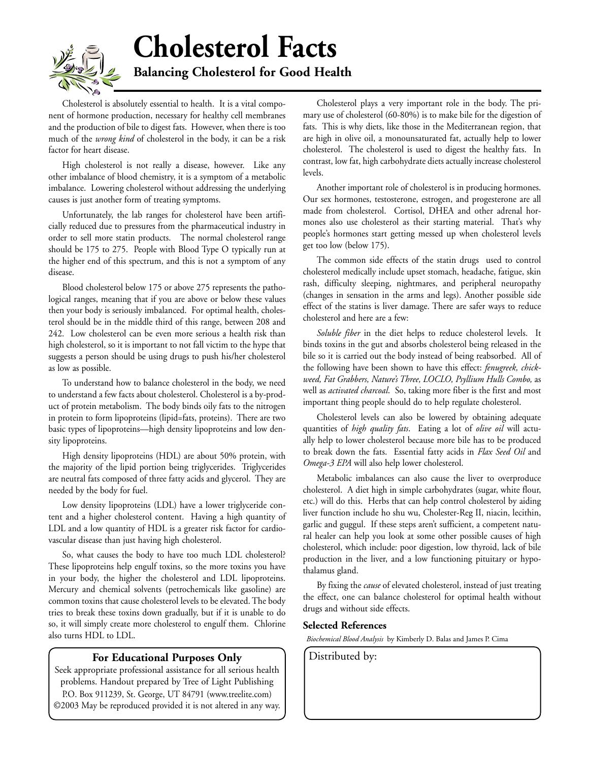

# **Cholesterol Facts**

**Balancing Cholesterol for Good Health**

Cholesterol is absolutely essential to health. It is a vital component of hormone production, necessary for healthy cell membranes and the production of bile to digest fats. However, when there is too much of the *wrong kind* of cholesterol in the body, it can be a risk factor for heart disease.

High cholesterol is not really a disease, however. Like any other imbalance of blood chemistry, it is a symptom of a metabolic imbalance. Lowering cholesterol without addressing the underlying causes is just another form of treating symptoms.

Unfortunately, the lab ranges for cholesterol have been artificially reduced due to pressures from the pharmaceutical industry in order to sell more statin products. The normal cholesterol range should be 175 to 275. People with Blood Type O typically run at the higher end of this spectrum, and this is not a symptom of any disease.

Blood cholesterol below 175 or above 275 represents the pathological ranges, meaning that if you are above or below these values then your body is seriously imbalanced. For optimal health, cholesterol should be in the middle third of this range, between 208 and 242. Low cholesterol can be even more serious a health risk than high cholesterol, so it is important to not fall victim to the hype that suggests a person should be using drugs to push his/her cholesterol as low as possible.

To understand how to balance cholesterol in the body, we need to understand a few facts about cholesterol. Cholesterol is a by-product of protein metabolism. The body binds oily fats to the nitrogen in protein to form lipoproteins (lipid=fats, proteins). There are two basic types of lipoproteins—high density lipoproteins and low density lipoproteins.

High density lipoproteins (HDL) are about 50% protein, with the majority of the lipid portion being triglycerides. Triglycerides are neutral fats composed of three fatty acids and glycerol. They are needed by the body for fuel.

Low density lipoproteins (LDL) have a lower triglyceride content and a higher cholesterol content. Having a high quantity of LDL and a low quantity of HDL is a greater risk factor for cardiovascular disease than just having high cholesterol.

So, what causes the body to have too much LDL cholesterol? These lipoproteins help engulf toxins, so the more toxins you have in your body, the higher the cholesterol and LDL lipoproteins. Mercury and chemical solvents (petrochemicals like gasoline) are common toxins that cause cholesterol levels to be elevated. The body tries to break these toxins down gradually, but if it is unable to do so, it will simply create more cholesterol to engulf them. Chlorine also turns HDL to LDL.

## **For Educational Purposes Only** | Distributed by:

Seek appropriate professional assistance for all serious health problems. Handout prepared by Tree of Light Publishing P.O. Box 911239, St. George, UT 84791 (www.treelite.com) ©2003 May be reproduced provided it is not altered in any way.

Cholesterol plays a very important role in the body. The primary use of cholesterol (60-80%) is to make bile for the digestion of fats. This is why diets, like those in the Mediterranean region, that are high in olive oil, a monounsaturated fat, actually help to lower cholesterol. The cholesterol is used to digest the healthy fats. In contrast, low fat, high carbohydrate diets actually increase cholesterol levels.

Another important role of cholesterol is in producing hormones. Our sex hormones, testosterone, estrogen, and progesterone are all made from cholesterol. Cortisol, DHEA and other adrenal hormones also use cholesterol as their starting material. That's why people's hormones start getting messed up when cholesterol levels get too low (below 175).

The common side effects of the statin drugs used to control cholesterol medically include upset stomach, headache, fatigue, skin rash, difficulty sleeping, nightmares, and peripheral neuropathy (changes in sensation in the arms and legs). Another possible side effect of the statins is liver damage. There are safer ways to reduce cholesterol and here are a few:

*Soluble fiber* in the diet helps to reduce cholesterol levels. It binds toxins in the gut and absorbs cholesterol being released in the bile so it is carried out the body instead of being reabsorbed. All of the following have been shown to have this effect: *fenugreek, chickweed, Fat Grabbers, Nature's Three, LOCLO, Psyllium Hulls Combo,* as well as *activated charcoal*. So, taking more fiber is the first and most important thing people should do to help regulate cholesterol.

Cholesterol levels can also be lowered by obtaining adequate quantities of *high quality fats*. Eating a lot of *olive oil* will actually help to lower cholesterol because more bile has to be produced to break down the fats. Essential fatty acids in *Flax Seed Oil* and *Omega-3 EPA* will also help lower cholesterol.

Metabolic imbalances can also cause the liver to overproduce cholesterol. A diet high in simple carbohydrates (sugar, white flour, etc.) will do this. Herbs that can help control cholesterol by aiding liver function include ho shu wu, Cholester-Reg II, niacin, lecithin, garlic and guggul. If these steps aren't sufficient, a competent natural healer can help you look at some other possible causes of high cholesterol, which include: poor digestion, low thyroid, lack of bile production in the liver, and a low functioning pituitary or hypothalamus gland.

By fixing the *cause* of elevated cholesterol, instead of just treating the effect, one can balance cholesterol for optimal health without drugs and without side effects.

### **Selected References**

*Biochemical Blood Analysis* by Kimberly D. Balas and James P. Cima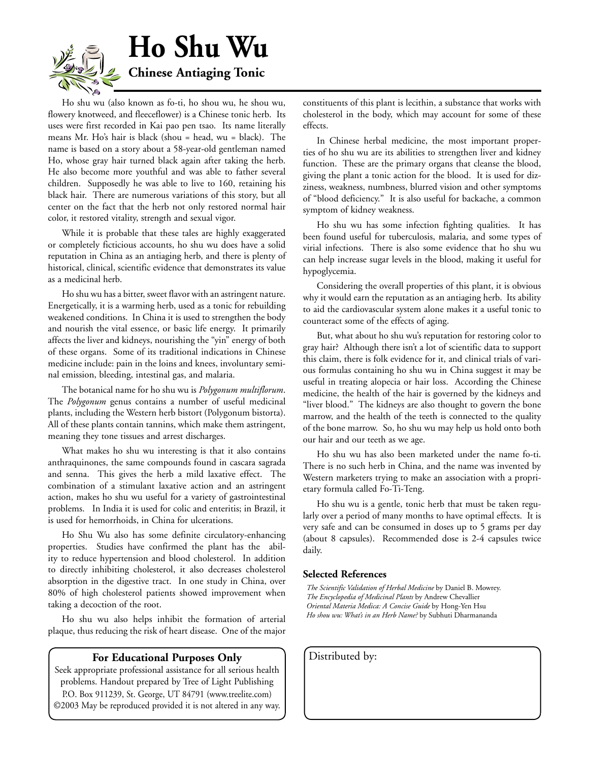

Ho shu wu (also known as fo-ti, ho shou wu, he shou wu, flowery knotweed, and fleeceflower) is a Chinese tonic herb. Its uses were first recorded in Kai pao pen tsao. Its name literally means Mr. Ho's hair is black (shou = head, wu = black). The name is based on a story about a 58-year-old gentleman named Ho, whose gray hair turned black again after taking the herb. He also become more youthful and was able to father several children. Supposedly he was able to live to 160, retaining his black hair. There are numerous variations of this story, but all center on the fact that the herb not only restored normal hair color, it restored vitality, strength and sexual vigor.

While it is probable that these tales are highly exaggerated or completely ficticious accounts, ho shu wu does have a solid reputation in China as an antiaging herb, and there is plenty of historical, clinical, scientific evidence that demonstrates its value as a medicinal herb.

Ho shu wu has a bitter, sweet flavor with an astringent nature. Energetically, it is a warming herb, used as a tonic for rebuilding weakened conditions. In China it is used to strengthen the body and nourish the vital essence, or basic life energy. It primarily affects the liver and kidneys, nourishing the "yin" energy of both of these organs. Some of its traditional indications in Chinese medicine include: pain in the loins and knees, involuntary seminal emission, bleeding, intestinal gas, and malaria.

The botanical name for ho shu wu is *Polygonum multiflorum*. The *Polygonum* genus contains a number of useful medicinal plants, including the Western herb bistort (Polygonum bistorta). All of these plants contain tannins, which make them astringent, meaning they tone tissues and arrest discharges.

What makes ho shu wu interesting is that it also contains anthraquinones, the same compounds found in cascara sagrada and senna. This gives the herb a mild laxative effect. The combination of a stimulant laxative action and an astringent action, makes ho shu wu useful for a variety of gastrointestinal problems. In India it is used for colic and enteritis; in Brazil, it is used for hemorrhoids, in China for ulcerations.

Ho Shu Wu also has some definite circulatory-enhancing properties. Studies have confirmed the plant has the ability to reduce hypertension and blood cholesterol. In addition to directly inhibiting cholesterol, it also decreases cholesterol absorption in the digestive tract. In one study in China, over 80% of high cholesterol patients showed improvement when taking a decoction of the root.

Ho shu wu also helps inhibit the formation of arterial plaque, thus reducing the risk of heart disease. One of the major

## **For Educational Purposes Only** | Distributed by:

Seek appropriate professional assistance for all serious health problems. Handout prepared by Tree of Light Publishing P.O. Box 911239, St. George, UT 84791 (www.treelite.com) ©2003 May be reproduced provided it is not altered in any way. constituents of this plant is lecithin, a substance that works with cholesterol in the body, which may account for some of these effects.

In Chinese herbal medicine, the most important properties of ho shu wu are its abilities to strengthen liver and kidney function. These are the primary organs that cleanse the blood, giving the plant a tonic action for the blood. It is used for dizziness, weakness, numbness, blurred vision and other symptoms of "blood deficiency." It is also useful for backache, a common symptom of kidney weakness.

Ho shu wu has some infection fighting qualities. It has been found useful for tuberculosis, malaria, and some types of virial infections. There is also some evidence that ho shu wu can help increase sugar levels in the blood, making it useful for hypoglycemia.

Considering the overall properties of this plant, it is obvious why it would earn the reputation as an antiaging herb. Its ability to aid the cardiovascular system alone makes it a useful tonic to counteract some of the effects of aging.

But, what about ho shu wu's reputation for restoring color to gray hair? Although there isn't a lot of scientific data to support this claim, there is folk evidence for it, and clinical trials of various formulas containing ho shu wu in China suggest it may be useful in treating alopecia or hair loss. According the Chinese medicine, the health of the hair is governed by the kidneys and "liver blood." The kidneys are also thought to govern the bone marrow, and the health of the teeth is connected to the quality of the bone marrow. So, ho shu wu may help us hold onto both our hair and our teeth as we age.

Ho shu wu has also been marketed under the name fo-ti. There is no such herb in China, and the name was invented by Western marketers trying to make an association with a proprietary formula called Fo-Ti-Teng.

Ho shu wu is a gentle, tonic herb that must be taken regularly over a period of many months to have optimal effects. It is very safe and can be consumed in doses up to 5 grams per day (about 8 capsules). Recommended dose is 2-4 capsules twice daily.

### **Selected References**

*The Scientific Validation of Herbal Medicine* by Daniel B. Mowrey. *The Encyclopedia of Medicinal Plants* by Andrew Chevallier *Oriental Materia Medica: A Concise Guide* by Hong-Yen Hsu *Ho shou wu: What's in an Herb Name?* by Subhuti Dharmananda